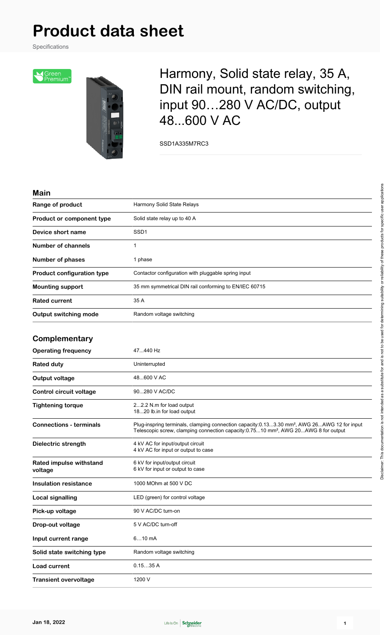# **Product data sheet**

Specifications





Harmony, Solid state relay, 35 A, DIN rail mount, random switching, input 90…280 V AC/DC, output 48...600 V AC

SSD1A335M7RC3

#### **Main**

| Range of product                   | Harmony Solid State Relays                                                                                                                                                                                |
|------------------------------------|-----------------------------------------------------------------------------------------------------------------------------------------------------------------------------------------------------------|
| Product or component type          | Solid state relay up to 40 A                                                                                                                                                                              |
| Device short name                  | SSD <sub>1</sub>                                                                                                                                                                                          |
| <b>Number of channels</b>          | 1                                                                                                                                                                                                         |
| <b>Number of phases</b>            | 1 phase                                                                                                                                                                                                   |
| <b>Product configuration type</b>  | Contactor configuration with pluggable spring input                                                                                                                                                       |
| <b>Mounting support</b>            | 35 mm symmetrical DIN rail conforming to EN/IEC 60715                                                                                                                                                     |
| <b>Rated current</b>               | 35 A                                                                                                                                                                                                      |
| <b>Output switching mode</b>       | Random voltage switching                                                                                                                                                                                  |
| Complementary                      |                                                                                                                                                                                                           |
| <b>Operating frequency</b>         | 47440 Hz                                                                                                                                                                                                  |
| <b>Rated duty</b>                  | Uninterrupted                                                                                                                                                                                             |
| <b>Output voltage</b>              | 48600 V AC                                                                                                                                                                                                |
| Control circuit voltage            | 90280 V AC/DC                                                                                                                                                                                             |
| <b>Tightening torque</b>           | 22.2 N.m for load output<br>1820 lb.in for load output                                                                                                                                                    |
| <b>Connections - terminals</b>     | Plug-inspring terminals, clamping connection capacity:0.133.30 mm <sup>2</sup> , AWG 26AWG 12 for input<br>Telescopic screw, clamping connection capacity:0.7510 mm <sup>2</sup> , AWG 20AWG 8 for output |
| Dielectric strength                | 4 kV AC for input/output circuit<br>4 kV AC for input or output to case                                                                                                                                   |
| Rated impulse withstand<br>voltage | 6 kV for input/output circuit<br>6 kV for input or output to case                                                                                                                                         |
| <b>Insulation resistance</b>       | 1000 MOhm at 500 V DC                                                                                                                                                                                     |
| <b>Local signalling</b>            | LED (green) for control voltage                                                                                                                                                                           |
| Pick-up voltage                    | 90 V AC/DC turn-on                                                                                                                                                                                        |
| Drop-out voltage                   | 5 V AC/DC turn-off                                                                                                                                                                                        |
| Input current range                | $610$ mA                                                                                                                                                                                                  |
| Solid state switching type         | Random voltage switching                                                                                                                                                                                  |
| Load current                       | 0.1535A                                                                                                                                                                                                   |
| <b>Transient overvoltage</b>       | 1200 V                                                                                                                                                                                                    |

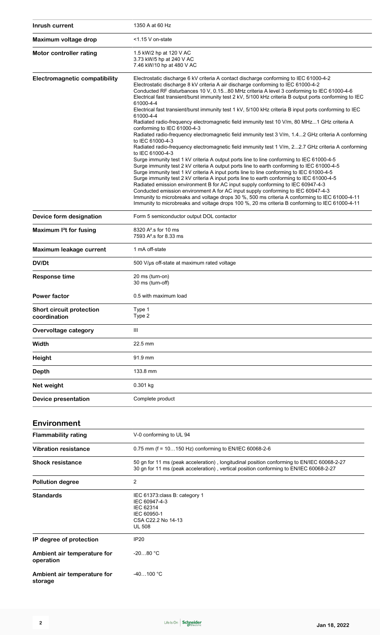| Inrush current                                  | 1350 A at 60 Hz                                                                                                                                                                                                                                                                                                                                                                                                                                                                                                                                                                                                                                                                                                                                                                                                                                                                                                                                                                                                                                                                                                                                                                                                                                                                                                                                                                                                                                                                                                                                                                                                                                                         |
|-------------------------------------------------|-------------------------------------------------------------------------------------------------------------------------------------------------------------------------------------------------------------------------------------------------------------------------------------------------------------------------------------------------------------------------------------------------------------------------------------------------------------------------------------------------------------------------------------------------------------------------------------------------------------------------------------------------------------------------------------------------------------------------------------------------------------------------------------------------------------------------------------------------------------------------------------------------------------------------------------------------------------------------------------------------------------------------------------------------------------------------------------------------------------------------------------------------------------------------------------------------------------------------------------------------------------------------------------------------------------------------------------------------------------------------------------------------------------------------------------------------------------------------------------------------------------------------------------------------------------------------------------------------------------------------------------------------------------------------|
| Maximum voltage drop                            | <1.15 V on-state                                                                                                                                                                                                                                                                                                                                                                                                                                                                                                                                                                                                                                                                                                                                                                                                                                                                                                                                                                                                                                                                                                                                                                                                                                                                                                                                                                                                                                                                                                                                                                                                                                                        |
| Motor controller rating                         | 1.5 kW/2 hp at 120 V AC<br>3.73 kW/5 hp at 240 V AC<br>7.46 kW/10 hp at 480 V AC                                                                                                                                                                                                                                                                                                                                                                                                                                                                                                                                                                                                                                                                                                                                                                                                                                                                                                                                                                                                                                                                                                                                                                                                                                                                                                                                                                                                                                                                                                                                                                                        |
| <b>Electromagnetic compatibility</b>            | Electrostatic discharge 6 kV criteria A contact discharge conforming to IEC 61000-4-2<br>Electrostatic discharge 8 kV criteria A air discharge conforming to IEC 61000-4-2<br>Conducted RF disturbances 10 V, 0.1580 MHz criteria A level 3 conforming to IEC 61000-4-6<br>Electrical fast transient/burst immunity test 2 kV, 5/100 kHz criteria B output ports conforming to IEC<br>61000-4-4<br>Electrical fast transient/burst immunity test 1 kV, 5/100 kHz criteria B input ports conforming to IEC<br>61000-4-4<br>Radiated radio-frequency electromagnetic field immunity test 10 V/m, 80 MHz1 GHz criteria A<br>conforming to IEC 61000-4-3<br>Radiated radio-frequency electromagnetic field immunity test 3 V/m, 1.42 GHz criteria A conforming<br>to IEC 61000-4-3<br>Radiated radio-frequency electromagnetic field immunity test 1 V/m, 22.7 GHz criteria A conforming<br>to IEC 61000-4-3<br>Surge immunity test 1 kV criteria A output ports line to line conforming to IEC 61000-4-5<br>Surge immunity test 2 kV criteria A output ports line to earth conforming to IEC 61000-4-5<br>Surge immunity test 1 kV criteria A input ports line to line conforming to IEC 61000-4-5<br>Surge immunity test 2 kV criteria A input ports line to earth conforming to IEC 61000-4-5<br>Radiated emission environment B for AC input supply conforming to IEC 60947-4-3<br>Conducted emission environment A for AC input supply conforming to IEC 60947-4-3<br>Immunity to microbreaks and voltage drops 30 %, 500 ms criteria A conforming to IEC 61000-4-11<br>Immunity to microbreaks and voltage drops 100 %, 20 ms criteria B conforming to IEC 61000-4-11 |
| Device form designation                         | Form 5 semiconductor output DOL contactor                                                                                                                                                                                                                                                                                                                                                                                                                                                                                                                                                                                                                                                                                                                                                                                                                                                                                                                                                                                                                                                                                                                                                                                                                                                                                                                                                                                                                                                                                                                                                                                                                               |
| Maximum I <sup>2</sup> t for fusing             | 8320 A <sup>2</sup> .s for 10 ms<br>7593 A <sup>2</sup> s for 8.33 ms                                                                                                                                                                                                                                                                                                                                                                                                                                                                                                                                                                                                                                                                                                                                                                                                                                                                                                                                                                                                                                                                                                                                                                                                                                                                                                                                                                                                                                                                                                                                                                                                   |
| Maximum leakage current                         | 1 mA off-state                                                                                                                                                                                                                                                                                                                                                                                                                                                                                                                                                                                                                                                                                                                                                                                                                                                                                                                                                                                                                                                                                                                                                                                                                                                                                                                                                                                                                                                                                                                                                                                                                                                          |
| DV/Dt                                           | 500 V/µs off-state at maximum rated voltage                                                                                                                                                                                                                                                                                                                                                                                                                                                                                                                                                                                                                                                                                                                                                                                                                                                                                                                                                                                                                                                                                                                                                                                                                                                                                                                                                                                                                                                                                                                                                                                                                             |
| <b>Response time</b>                            | 20 ms (turn-on)<br>30 ms (turn-off)                                                                                                                                                                                                                                                                                                                                                                                                                                                                                                                                                                                                                                                                                                                                                                                                                                                                                                                                                                                                                                                                                                                                                                                                                                                                                                                                                                                                                                                                                                                                                                                                                                     |
| <b>Power factor</b>                             | 0.5 with maximum load                                                                                                                                                                                                                                                                                                                                                                                                                                                                                                                                                                                                                                                                                                                                                                                                                                                                                                                                                                                                                                                                                                                                                                                                                                                                                                                                                                                                                                                                                                                                                                                                                                                   |
| <b>Short circuit protection</b><br>coordination | Type 1<br>Type 2                                                                                                                                                                                                                                                                                                                                                                                                                                                                                                                                                                                                                                                                                                                                                                                                                                                                                                                                                                                                                                                                                                                                                                                                                                                                                                                                                                                                                                                                                                                                                                                                                                                        |
| Overvoltage category                            | Ш                                                                                                                                                                                                                                                                                                                                                                                                                                                                                                                                                                                                                                                                                                                                                                                                                                                                                                                                                                                                                                                                                                                                                                                                                                                                                                                                                                                                                                                                                                                                                                                                                                                                       |
| Width                                           | 22.5 mm                                                                                                                                                                                                                                                                                                                                                                                                                                                                                                                                                                                                                                                                                                                                                                                                                                                                                                                                                                                                                                                                                                                                                                                                                                                                                                                                                                                                                                                                                                                                                                                                                                                                 |
| <b>Height</b>                                   | 91.9 mm                                                                                                                                                                                                                                                                                                                                                                                                                                                                                                                                                                                                                                                                                                                                                                                                                                                                                                                                                                                                                                                                                                                                                                                                                                                                                                                                                                                                                                                                                                                                                                                                                                                                 |
| Depth                                           | 133.8 mm                                                                                                                                                                                                                                                                                                                                                                                                                                                                                                                                                                                                                                                                                                                                                                                                                                                                                                                                                                                                                                                                                                                                                                                                                                                                                                                                                                                                                                                                                                                                                                                                                                                                |
| Net weight                                      | 0.301 kg                                                                                                                                                                                                                                                                                                                                                                                                                                                                                                                                                                                                                                                                                                                                                                                                                                                                                                                                                                                                                                                                                                                                                                                                                                                                                                                                                                                                                                                                                                                                                                                                                                                                |
| <b>Device presentation</b>                      | Complete product                                                                                                                                                                                                                                                                                                                                                                                                                                                                                                                                                                                                                                                                                                                                                                                                                                                                                                                                                                                                                                                                                                                                                                                                                                                                                                                                                                                                                                                                                                                                                                                                                                                        |
| <b>Environment</b>                              |                                                                                                                                                                                                                                                                                                                                                                                                                                                                                                                                                                                                                                                                                                                                                                                                                                                                                                                                                                                                                                                                                                                                                                                                                                                                                                                                                                                                                                                                                                                                                                                                                                                                         |
| <b>Flammability rating</b>                      | V-0 conforming to UL 94                                                                                                                                                                                                                                                                                                                                                                                                                                                                                                                                                                                                                                                                                                                                                                                                                                                                                                                                                                                                                                                                                                                                                                                                                                                                                                                                                                                                                                                                                                                                                                                                                                                 |
| <b>Vibration resistance</b>                     | 0.75 mm (f = 10150 Hz) conforming to EN/IEC 60068-2-6                                                                                                                                                                                                                                                                                                                                                                                                                                                                                                                                                                                                                                                                                                                                                                                                                                                                                                                                                                                                                                                                                                                                                                                                                                                                                                                                                                                                                                                                                                                                                                                                                   |
| <b>Shock resistance</b>                         | 50 gn for 11 ms (peak acceleration), longitudinal position conforming to EN/IEC 60068-2-27<br>30 gn for 11 ms (peak acceleration), vertical position conforming to EN/IEC 60068-2-27                                                                                                                                                                                                                                                                                                                                                                                                                                                                                                                                                                                                                                                                                                                                                                                                                                                                                                                                                                                                                                                                                                                                                                                                                                                                                                                                                                                                                                                                                    |
| <b>Pollution degree</b>                         | 2                                                                                                                                                                                                                                                                                                                                                                                                                                                                                                                                                                                                                                                                                                                                                                                                                                                                                                                                                                                                                                                                                                                                                                                                                                                                                                                                                                                                                                                                                                                                                                                                                                                                       |
| Standards                                       | IEC 61373 class B: category 1<br>IEC 60947-4-3<br>IEC 62314<br>IEC 60950-1<br>CSA C22.2 No 14-13<br><b>UL 508</b>                                                                                                                                                                                                                                                                                                                                                                                                                                                                                                                                                                                                                                                                                                                                                                                                                                                                                                                                                                                                                                                                                                                                                                                                                                                                                                                                                                                                                                                                                                                                                       |
| IP degree of protection                         | IP20                                                                                                                                                                                                                                                                                                                                                                                                                                                                                                                                                                                                                                                                                                                                                                                                                                                                                                                                                                                                                                                                                                                                                                                                                                                                                                                                                                                                                                                                                                                                                                                                                                                                    |
| Ambient air temperature for<br>operation        | $-2080 °C$                                                                                                                                                                                                                                                                                                                                                                                                                                                                                                                                                                                                                                                                                                                                                                                                                                                                                                                                                                                                                                                                                                                                                                                                                                                                                                                                                                                                                                                                                                                                                                                                                                                              |
| Ambient air temperature for<br>storage          | $-40100 °C$                                                                                                                                                                                                                                                                                                                                                                                                                                                                                                                                                                                                                                                                                                                                                                                                                                                                                                                                                                                                                                                                                                                                                                                                                                                                                                                                                                                                                                                                                                                                                                                                                                                             |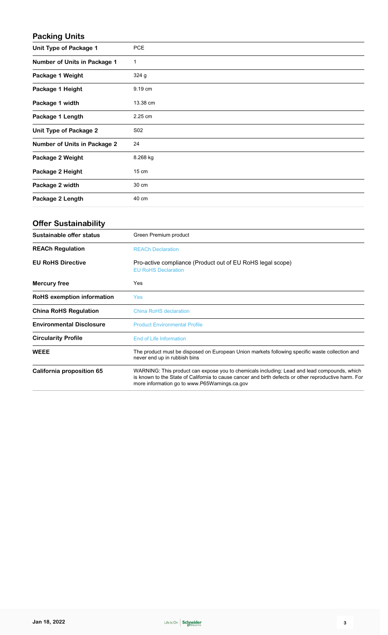## **Packing Units**

| Unit Type of Package 1              | <b>PCE</b>      |
|-------------------------------------|-----------------|
| <b>Number of Units in Package 1</b> | 1               |
| Package 1 Weight                    | 324g            |
| Package 1 Height                    | 9.19 cm         |
| Package 1 width                     | 13.38 cm        |
| Package 1 Length                    | 2.25 cm         |
| <b>Unit Type of Package 2</b>       | S <sub>02</sub> |
| <b>Number of Units in Package 2</b> | 24              |
| Package 2 Weight                    | 8.268 kg        |
| Package 2 Height                    | 15 cm           |
| Package 2 width                     | 30 cm           |
| Package 2 Length                    | 40 cm           |

## **Offer Sustainability**

| Sustainable offer status          | Green Premium product                                                                                                                                                                                                                                 |
|-----------------------------------|-------------------------------------------------------------------------------------------------------------------------------------------------------------------------------------------------------------------------------------------------------|
| <b>REACh Regulation</b>           | <b>REACh Declaration</b>                                                                                                                                                                                                                              |
| <b>EU RoHS Directive</b>          | Pro-active compliance (Product out of EU RoHS legal scope)<br><b>EU RoHS Declaration</b>                                                                                                                                                              |
| <b>Mercury free</b>               | Yes                                                                                                                                                                                                                                                   |
| <b>RoHS</b> exemption information | Yes                                                                                                                                                                                                                                                   |
| <b>China RoHS Regulation</b>      | China RoHS declaration                                                                                                                                                                                                                                |
| <b>Environmental Disclosure</b>   | <b>Product Environmental Profile</b>                                                                                                                                                                                                                  |
| <b>Circularity Profile</b>        | End of Life Information                                                                                                                                                                                                                               |
| <b>WEEE</b>                       | The product must be disposed on European Union markets following specific waste collection and<br>never end up in rubbish bins                                                                                                                        |
| California proposition 65         | WARNING: This product can expose you to chemicals including: Lead and lead compounds, which<br>is known to the State of California to cause cancer and birth defects or other reproductive harm. For<br>more information go to www.P65Warnings.ca.gov |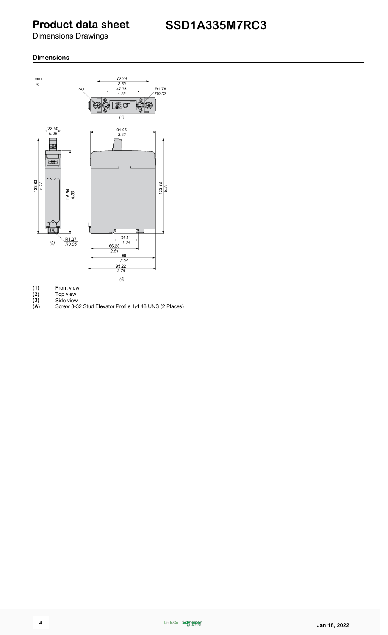## **Product data sheet**

Dimensions Drawings

#### **Dimensions**



- (1) Front view<br>
(2) Top view<br>
(3) Side view<br>
(A) Screw 8-32
- **(2)** Top view **(3)** Side view
- 
- **(A)** Screw 8-32 Stud Elevator Profile 1/4 48 UNS (2 Places)